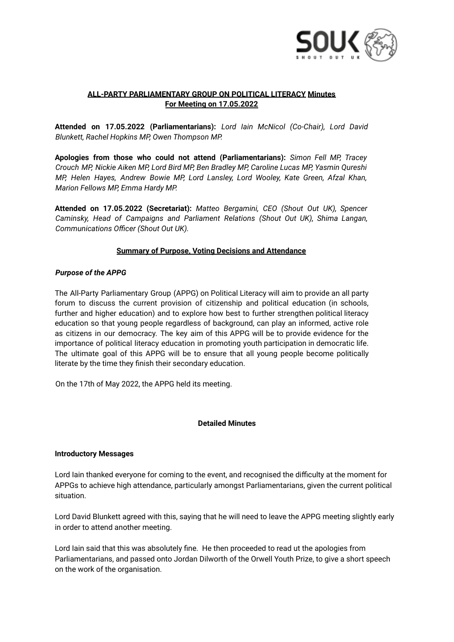

# **ALL-PARTY PARLIAMENTARY GROUP ON POLITICAL LITERACY Minutes For Meeting on 17.05.2022**

**Attended on 17.05.2022 (Parliamentarians):** *Lord Iain McNicol (Co-Chair), Lord David Blunkett, Rachel Hopkins MP, Owen Thompson MP.*

**Apologies from those who could not attend (Parliamentarians):** *Simon Fell MP, Tracey Crouch MP, Nickie Aiken MP, Lord Bird MP, Ben Bradley MP, Caroline Lucas MP, Yasmin Qureshi MP, Helen Hayes, Andrew Bowie MP, Lord Lansley, Lord Wooley, Kate Green, Afzal Khan, Marion Fellows MP, Emma Hardy MP.*

**Attended on 17.05.2022 (Secretariat):** *Matteo Bergamini, CEO (Shout Out UK), Spencer Caminsky, Head of Campaigns and Parliament Relations (Shout Out UK), Shima Langan, Communications Officer (Shout Out UK).*

## **Summary of Purpose, Voting Decisions and Attendance**

## *Purpose of the APPG*

The All-Party Parliamentary Group (APPG) on Political Literacy will aim to provide an all party forum to discuss the current provision of citizenship and political education (in schools, further and higher education) and to explore how best to further strengthen political literacy education so that young people regardless of background, can play an informed, active role as citizens in our democracy. The key aim of this APPG will be to provide evidence for the importance of political literacy education in promoting youth participation in democratic life. The ultimate goal of this APPG will be to ensure that all young people become politically literate by the time they finish their secondary education.

On the 17th of May 2022, the APPG held its meeting.

#### **Detailed Minutes**

#### **Introductory Messages**

Lord Iain thanked everyone for coming to the event, and recognised the difficulty at the moment for APPGs to achieve high attendance, particularly amongst Parliamentarians, given the current political situation.

Lord David Blunkett agreed with this, saying that he will need to leave the APPG meeting slightly early in order to attend another meeting.

Lord Iain said that this was absolutely fine. He then proceeded to read ut the apologies from Parliamentarians, and passed onto Jordan Dilworth of the Orwell Youth Prize, to give a short speech on the work of the organisation.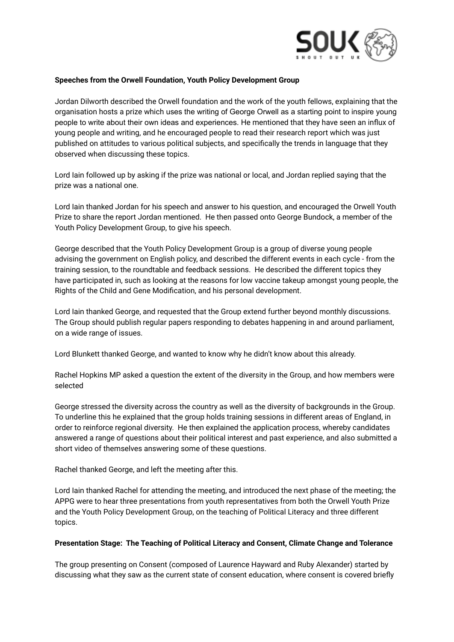

### **Speeches from the Orwell Foundation, Youth Policy Development Group**

Jordan Dilworth described the Orwell foundation and the work of the youth fellows, explaining that the organisation hosts a prize which uses the writing of George Orwell as a starting point to inspire young people to write about their own ideas and experiences. He mentioned that they have seen an influx of young people and writing, and he encouraged people to read their research report which was just published on attitudes to various political subjects, and specifically the trends in language that they observed when discussing these topics.

Lord Iain followed up by asking if the prize was national or local, and Jordan replied saying that the prize was a national one.

Lord Iain thanked Jordan for his speech and answer to his question, and encouraged the Orwell Youth Prize to share the report Jordan mentioned. He then passed onto George Bundock, a member of the Youth Policy Development Group, to give his speech.

George described that the Youth Policy Development Group is a group of diverse young people advising the government on English policy, and described the different events in each cycle - from the training session, to the roundtable and feedback sessions. He described the different topics they have participated in, such as looking at the reasons for low vaccine takeup amongst young people, the Rights of the Child and Gene Modification, and his personal development.

Lord Iain thanked George, and requested that the Group extend further beyond monthly discussions. The Group should publish regular papers responding to debates happening in and around parliament, on a wide range of issues.

Lord Blunkett thanked George, and wanted to know why he didn't know about this already.

Rachel Hopkins MP asked a question the extent of the diversity in the Group, and how members were selected

George stressed the diversity across the country as well as the diversity of backgrounds in the Group. To underline this he explained that the group holds training sessions in different areas of England, in order to reinforce regional diversity. He then explained the application process, whereby candidates answered a range of questions about their political interest and past experience, and also submitted a short video of themselves answering some of these questions.

Rachel thanked George, and left the meeting after this.

Lord Iain thanked Rachel for attending the meeting, and introduced the next phase of the meeting; the APPG were to hear three presentations from youth representatives from both the Orwell Youth Prize and the Youth Policy Development Group, on the teaching of Political Literacy and three different topics.

#### **Presentation Stage: The Teaching of Political Literacy and Consent, Climate Change and Tolerance**

The group presenting on Consent (composed of Laurence Hayward and Ruby Alexander) started by discussing what they saw as the current state of consent education, where consent is covered briefly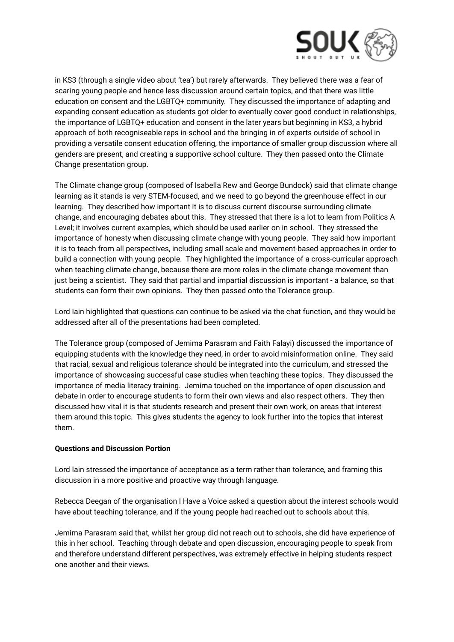

in KS3 (through a single video about 'tea') but rarely afterwards. They believed there was a fear of scaring young people and hence less discussion around certain topics, and that there was little education on consent and the LGBTQ+ community. They discussed the importance of adapting and expanding consent education as students got older to eventually cover good conduct in relationships, the importance of LGBTQ+ education and consent in the later years but beginning in KS3, a hybrid approach of both recogniseable reps in-school and the bringing in of experts outside of school in providing a versatile consent education offering, the importance of smaller group discussion where all genders are present, and creating a supportive school culture. They then passed onto the Climate Change presentation group.

The Climate change group (composed of Isabella Rew and George Bundock) said that climate change learning as it stands is very STEM-focused, and we need to go beyond the greenhouse effect in our learning. They described how important it is to discuss current discourse surrounding climate change, and encouraging debates about this. They stressed that there is a lot to learn from Politics A Level; it involves current examples, which should be used earlier on in school. They stressed the importance of honesty when discussing climate change with young people. They said how important it is to teach from all perspectives, including small scale and movement-based approaches in order to build a connection with young people. They highlighted the importance of a cross-curricular approach when teaching climate change, because there are more roles in the climate change movement than just being a scientist. They said that partial and impartial discussion is important - a balance, so that students can form their own opinions. They then passed onto the Tolerance group.

Lord Iain highlighted that questions can continue to be asked via the chat function, and they would be addressed after all of the presentations had been completed.

The Tolerance group (composed of Jemima Parasram and Faith Falayi) discussed the importance of equipping students with the knowledge they need, in order to avoid misinformation online. They said that racial, sexual and religious tolerance should be integrated into the curriculum, and stressed the importance of showcasing successful case studies when teaching these topics. They discussed the importance of media literacy training. Jemima touched on the importance of open discussion and debate in order to encourage students to form their own views and also respect others. They then discussed how vital it is that students research and present their own work, on areas that interest them around this topic. This gives students the agency to look further into the topics that interest them.

#### **Questions and Discussion Portion**

Lord Iain stressed the importance of acceptance as a term rather than tolerance, and framing this discussion in a more positive and proactive way through language.

Rebecca Deegan of the organisation I Have a Voice asked a question about the interest schools would have about teaching tolerance, and if the young people had reached out to schools about this.

Jemima Parasram said that, whilst her group did not reach out to schools, she did have experience of this in her school. Teaching through debate and open discussion, encouraging people to speak from and therefore understand different perspectives, was extremely effective in helping students respect one another and their views.